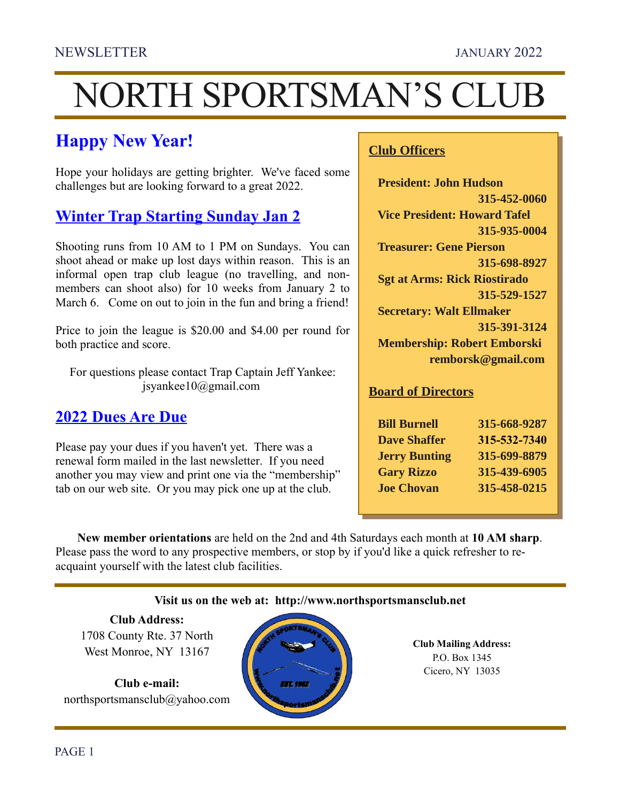# NORTH SPORTSMAN'S CLUB

# **Happy New Year!**

Hope your holidays are getting brighter. We've faced some challenges but are looking forward to a great 2022.

## **Winter Trap Starting Sunday Jan 2**

Shooting runs from 10 AM to 1 PM on Sundays. You can shoot ahead or make up lost days within reason. This is an informal open trap club league (no travelling, and nonmembers can shoot also) for 10 weeks from January 2 to March 6. Come on out to join in the fun and bring a friend!

Price to join the league is \$20.00 and \$4.00 per round for both practice and score.

For questions please contact Trap Captain Jeff Yankee: jsyankee10@gmail.com

#### **2022 Dues Are Due**

Please pay your dues if you haven't yet. There was a renewal form mailed in the last newsletter. If you need another you may view and print one via the "membership" tab on our web site. Or you may pick one up at the club.

# **Club Officers Club Officers**

 **President: John Hudson President: John Hudson 315-452-0060 315-452-0060 Vice President: Howard Tafel Vice President: Howard Tafel 315-935-0004 315-935-0004 Treasurer: Gene Pierson 315-698-8927 315-698-8927 Sgt at Arms: Rick Riostirado Sgt at Arms: Rick Riostirado 315-529-1527 315-529-1527 Secretary: Walt Ellmaker Secretary: Walt Ellmaker 315-391-3124 315-391-3124 Membership: Robert Emborski Membership: Robert Emborski remborsk@gmail.com remborsk@gmail.com**

# **Board of Directors Board of Directors**

| <b>Bill Burnell</b>  | 315-668-9287 |
|----------------------|--------------|
| <b>Dave Shaffer</b>  | 315-532-7340 |
| <b>Jerry Bunting</b> | 315-699-8879 |
| <b>Gary Rizzo</b>    | 315-439-6905 |
| <b>Joe Chovan</b>    | 315-458-0215 |

**New member orientations** are held on the 2nd and 4th Saturdays each month at **10 AM sharp**. Please pass the word to any prospective members, or stop by if you'd like a quick refresher to reacquaint yourself with the latest club facilities.

#### **Visit us on the web at: [http://www.northsportsmansclub.net](http://www.northsportsmansclub.net/)**

**Club Address:** 1708 County Rte. 37 North West Monroe, NY 13167

**Club e-mail:** northsportsmansclub@yahoo.com



**Club Mailing Address:** P.O. Box 1345 Cicero, NY 13035